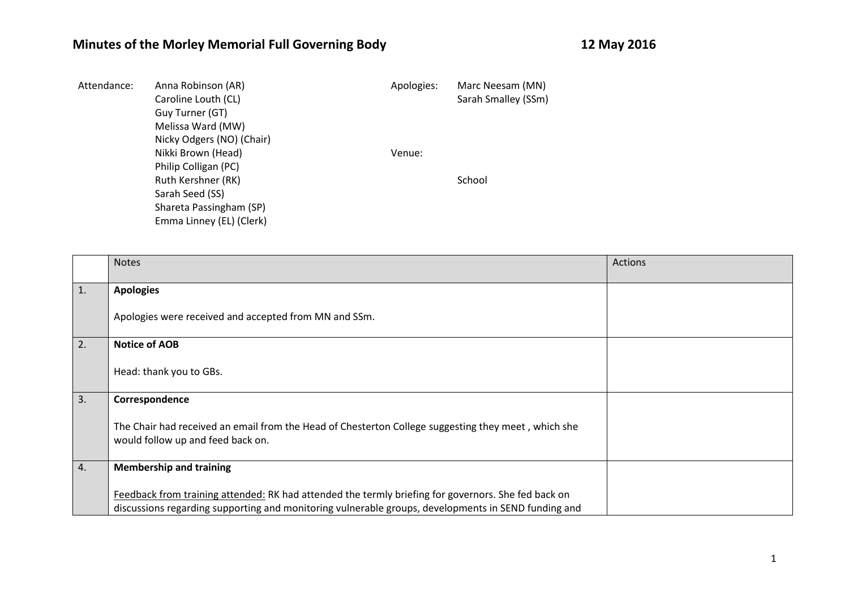## **Minutes of the Morley Memorial Full Governing Body 12 May 2016**

| Attendance: | Anna Robinson (AR)        | Apologies: | Marc Neesam (MN)    |
|-------------|---------------------------|------------|---------------------|
|             | Caroline Louth (CL)       |            | Sarah Smalley (SSm) |
|             | Guy Turner (GT)           |            |                     |
|             | Melissa Ward (MW)         |            |                     |
|             | Nicky Odgers (NO) (Chair) |            |                     |
|             | Nikki Brown (Head)        | Venue:     |                     |
|             | Philip Colligan (PC)      |            |                     |
|             | Ruth Kershner (RK)        |            | School              |
|             | Sarah Seed (SS)           |            |                     |
|             | Shareta Passingham (SP)   |            |                     |
|             | Emma Linney (EL) (Clerk)  |            |                     |

|            | <b>Notes</b>                                                                                                                                                                                               | Actions |
|------------|------------------------------------------------------------------------------------------------------------------------------------------------------------------------------------------------------------|---------|
| $\vert 1.$ | <b>Apologies</b>                                                                                                                                                                                           |         |
|            | Apologies were received and accepted from MN and SSm.                                                                                                                                                      |         |
| 2.         | <b>Notice of AOB</b>                                                                                                                                                                                       |         |
|            | Head: thank you to GBs.                                                                                                                                                                                    |         |
| 3.         | Correspondence                                                                                                                                                                                             |         |
|            | The Chair had received an email from the Head of Chesterton College suggesting they meet, which she<br>would follow up and feed back on.                                                                   |         |
| 4.         | <b>Membership and training</b>                                                                                                                                                                             |         |
|            | Feedback from training attended: RK had attended the termly briefing for governors. She fed back on<br>discussions regarding supporting and monitoring vulnerable groups, developments in SEND funding and |         |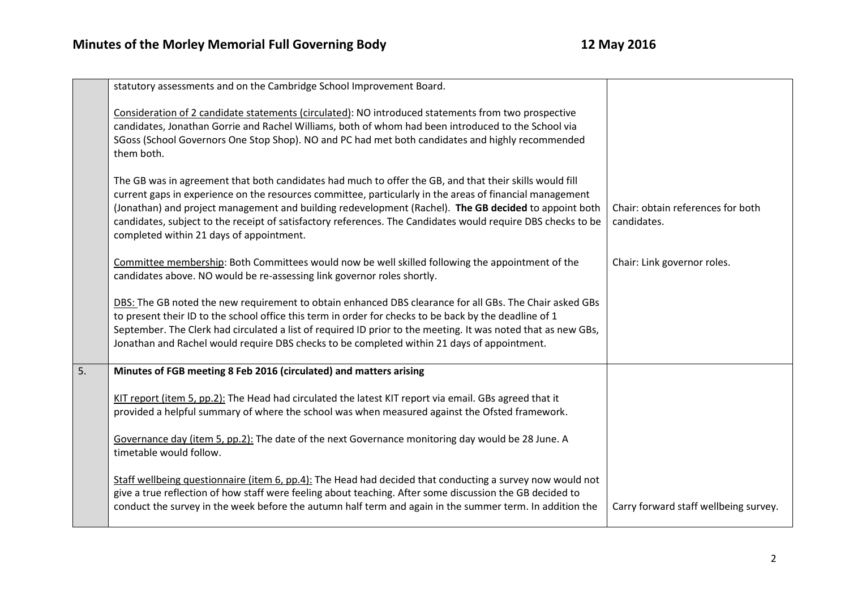|    | statutory assessments and on the Cambridge School Improvement Board.                                                                                                                                                                                                                                                                                                                                                                                                                     |                                                  |
|----|------------------------------------------------------------------------------------------------------------------------------------------------------------------------------------------------------------------------------------------------------------------------------------------------------------------------------------------------------------------------------------------------------------------------------------------------------------------------------------------|--------------------------------------------------|
|    | Consideration of 2 candidate statements (circulated): NO introduced statements from two prospective<br>candidates, Jonathan Gorrie and Rachel Williams, both of whom had been introduced to the School via<br>SGoss (School Governors One Stop Shop). NO and PC had met both candidates and highly recommended<br>them both.                                                                                                                                                             |                                                  |
|    | The GB was in agreement that both candidates had much to offer the GB, and that their skills would fill<br>current gaps in experience on the resources committee, particularly in the areas of financial management<br>(Jonathan) and project management and building redevelopment (Rachel). The GB decided to appoint both<br>candidates, subject to the receipt of satisfactory references. The Candidates would require DBS checks to be<br>completed within 21 days of appointment. | Chair: obtain references for both<br>candidates. |
|    | Committee membership: Both Committees would now be well skilled following the appointment of the<br>candidates above. NO would be re-assessing link governor roles shortly.                                                                                                                                                                                                                                                                                                              | Chair: Link governor roles.                      |
|    | DBS: The GB noted the new requirement to obtain enhanced DBS clearance for all GBs. The Chair asked GBs<br>to present their ID to the school office this term in order for checks to be back by the deadline of 1<br>September. The Clerk had circulated a list of required ID prior to the meeting. It was noted that as new GBs,<br>Jonathan and Rachel would require DBS checks to be completed within 21 days of appointment.                                                        |                                                  |
| 5. | Minutes of FGB meeting 8 Feb 2016 (circulated) and matters arising                                                                                                                                                                                                                                                                                                                                                                                                                       |                                                  |
|    | KIT report (item 5, pp.2): The Head had circulated the latest KIT report via email. GBs agreed that it<br>provided a helpful summary of where the school was when measured against the Ofsted framework.                                                                                                                                                                                                                                                                                 |                                                  |
|    | Governance day (item 5, pp.2): The date of the next Governance monitoring day would be 28 June. A<br>timetable would follow.                                                                                                                                                                                                                                                                                                                                                             |                                                  |
|    | Staff wellbeing questionnaire (item 6, pp.4): The Head had decided that conducting a survey now would not<br>give a true reflection of how staff were feeling about teaching. After some discussion the GB decided to<br>conduct the survey in the week before the autumn half term and again in the summer term. In addition the                                                                                                                                                        | Carry forward staff wellbeing survey.            |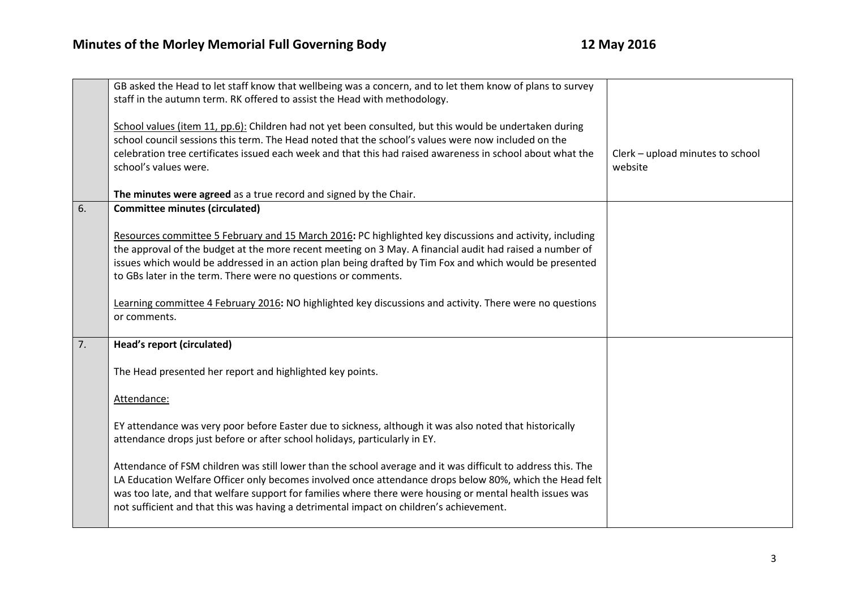|    | GB asked the Head to let staff know that wellbeing was a concern, and to let them know of plans to survey<br>staff in the autumn term. RK offered to assist the Head with methodology.                                                                                                                                                                                                                                         |                                             |
|----|--------------------------------------------------------------------------------------------------------------------------------------------------------------------------------------------------------------------------------------------------------------------------------------------------------------------------------------------------------------------------------------------------------------------------------|---------------------------------------------|
|    | School values (item 11, pp.6): Children had not yet been consulted, but this would be undertaken during                                                                                                                                                                                                                                                                                                                        |                                             |
|    | school council sessions this term. The Head noted that the school's values were now included on the                                                                                                                                                                                                                                                                                                                            |                                             |
|    | celebration tree certificates issued each week and that this had raised awareness in school about what the<br>school's values were.                                                                                                                                                                                                                                                                                            | Clerk - upload minutes to school<br>website |
|    |                                                                                                                                                                                                                                                                                                                                                                                                                                |                                             |
|    | The minutes were agreed as a true record and signed by the Chair.                                                                                                                                                                                                                                                                                                                                                              |                                             |
| 6. | <b>Committee minutes (circulated)</b>                                                                                                                                                                                                                                                                                                                                                                                          |                                             |
|    | Resources committee 5 February and 15 March 2016: PC highlighted key discussions and activity, including<br>the approval of the budget at the more recent meeting on 3 May. A financial audit had raised a number of<br>issues which would be addressed in an action plan being drafted by Tim Fox and which would be presented<br>to GBs later in the term. There were no questions or comments.                              |                                             |
|    | Learning committee 4 February 2016: NO highlighted key discussions and activity. There were no questions<br>or comments.                                                                                                                                                                                                                                                                                                       |                                             |
| 7. | <b>Head's report (circulated)</b>                                                                                                                                                                                                                                                                                                                                                                                              |                                             |
|    | The Head presented her report and highlighted key points.                                                                                                                                                                                                                                                                                                                                                                      |                                             |
|    | Attendance:                                                                                                                                                                                                                                                                                                                                                                                                                    |                                             |
|    | EY attendance was very poor before Easter due to sickness, although it was also noted that historically<br>attendance drops just before or after school holidays, particularly in EY.                                                                                                                                                                                                                                          |                                             |
|    | Attendance of FSM children was still lower than the school average and it was difficult to address this. The<br>LA Education Welfare Officer only becomes involved once attendance drops below 80%, which the Head felt<br>was too late, and that welfare support for families where there were housing or mental health issues was<br>not sufficient and that this was having a detrimental impact on children's achievement. |                                             |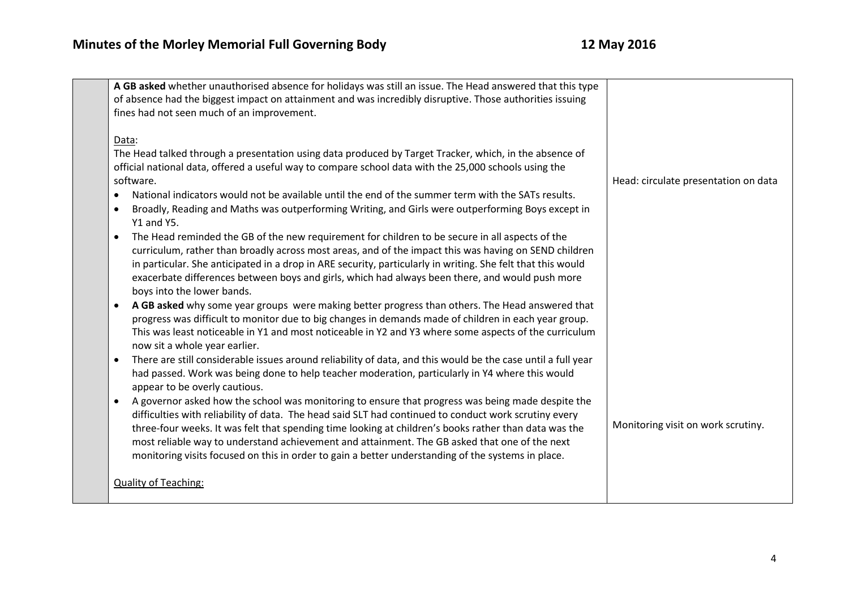| A GB asked whether unauthorised absence for holidays was still an issue. The Head answered that this type<br>of absence had the biggest impact on attainment and was incredibly disruptive. Those authorities issuing<br>fines had not seen much of an improvement.                                                                                                                                                                                                                                                                                                                                                                                                                                                                                                                                                                                                                                                                                 |                                      |
|-----------------------------------------------------------------------------------------------------------------------------------------------------------------------------------------------------------------------------------------------------------------------------------------------------------------------------------------------------------------------------------------------------------------------------------------------------------------------------------------------------------------------------------------------------------------------------------------------------------------------------------------------------------------------------------------------------------------------------------------------------------------------------------------------------------------------------------------------------------------------------------------------------------------------------------------------------|--------------------------------------|
| Data:<br>The Head talked through a presentation using data produced by Target Tracker, which, in the absence of<br>official national data, offered a useful way to compare school data with the 25,000 schools using the<br>software.<br>National indicators would not be available until the end of the summer term with the SATs results.<br>$\bullet$<br>Broadly, Reading and Maths was outperforming Writing, and Girls were outperforming Boys except in<br>٠<br><b>Y1 and Y5.</b><br>The Head reminded the GB of the new requirement for children to be secure in all aspects of the<br>curriculum, rather than broadly across most areas, and of the impact this was having on SEND children<br>in particular. She anticipated in a drop in ARE security, particularly in writing. She felt that this would<br>exacerbate differences between boys and girls, which had always been there, and would push more<br>boys into the lower bands. | Head: circulate presentation on data |
| A GB asked why some year groups were making better progress than others. The Head answered that<br>progress was difficult to monitor due to big changes in demands made of children in each year group.<br>This was least noticeable in Y1 and most noticeable in Y2 and Y3 where some aspects of the curriculum<br>now sit a whole year earlier.                                                                                                                                                                                                                                                                                                                                                                                                                                                                                                                                                                                                   |                                      |
| There are still considerable issues around reliability of data, and this would be the case until a full year<br>$\bullet$<br>had passed. Work was being done to help teacher moderation, particularly in Y4 where this would<br>appear to be overly cautious.<br>A governor asked how the school was monitoring to ensure that progress was being made despite the<br>$\bullet$<br>difficulties with reliability of data. The head said SLT had continued to conduct work scrutiny every<br>three-four weeks. It was felt that spending time looking at children's books rather than data was the<br>most reliable way to understand achievement and attainment. The GB asked that one of the next<br>monitoring visits focused on this in order to gain a better understanding of the systems in place.                                                                                                                                            | Monitoring visit on work scrutiny.   |
| <b>Quality of Teaching:</b>                                                                                                                                                                                                                                                                                                                                                                                                                                                                                                                                                                                                                                                                                                                                                                                                                                                                                                                         |                                      |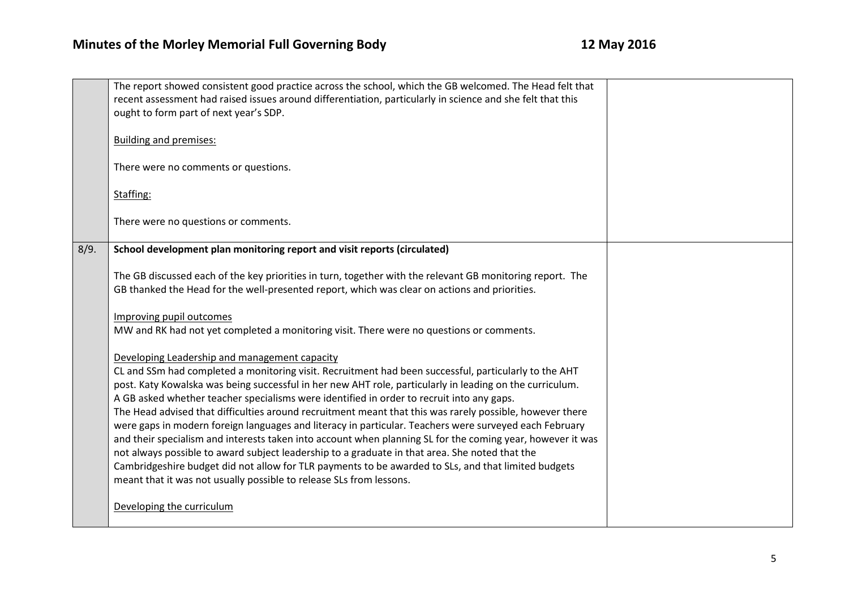|      | The report showed consistent good practice across the school, which the GB welcomed. The Head felt that<br>recent assessment had raised issues around differentiation, particularly in science and she felt that this<br>ought to form part of next year's SDP.                                                                                                                                                                                                                                                                                                                                                                                                                                                                                                                                                                                                                                                                                                                     |  |
|------|-------------------------------------------------------------------------------------------------------------------------------------------------------------------------------------------------------------------------------------------------------------------------------------------------------------------------------------------------------------------------------------------------------------------------------------------------------------------------------------------------------------------------------------------------------------------------------------------------------------------------------------------------------------------------------------------------------------------------------------------------------------------------------------------------------------------------------------------------------------------------------------------------------------------------------------------------------------------------------------|--|
|      | <b>Building and premises:</b>                                                                                                                                                                                                                                                                                                                                                                                                                                                                                                                                                                                                                                                                                                                                                                                                                                                                                                                                                       |  |
|      | There were no comments or questions.                                                                                                                                                                                                                                                                                                                                                                                                                                                                                                                                                                                                                                                                                                                                                                                                                                                                                                                                                |  |
|      | Staffing:                                                                                                                                                                                                                                                                                                                                                                                                                                                                                                                                                                                                                                                                                                                                                                                                                                                                                                                                                                           |  |
|      | There were no questions or comments.                                                                                                                                                                                                                                                                                                                                                                                                                                                                                                                                                                                                                                                                                                                                                                                                                                                                                                                                                |  |
| 8/9. | School development plan monitoring report and visit reports (circulated)                                                                                                                                                                                                                                                                                                                                                                                                                                                                                                                                                                                                                                                                                                                                                                                                                                                                                                            |  |
|      | The GB discussed each of the key priorities in turn, together with the relevant GB monitoring report. The<br>GB thanked the Head for the well-presented report, which was clear on actions and priorities.                                                                                                                                                                                                                                                                                                                                                                                                                                                                                                                                                                                                                                                                                                                                                                          |  |
|      | Improving pupil outcomes<br>MW and RK had not yet completed a monitoring visit. There were no questions or comments.                                                                                                                                                                                                                                                                                                                                                                                                                                                                                                                                                                                                                                                                                                                                                                                                                                                                |  |
|      | Developing Leadership and management capacity<br>CL and SSm had completed a monitoring visit. Recruitment had been successful, particularly to the AHT<br>post. Katy Kowalska was being successful in her new AHT role, particularly in leading on the curriculum.<br>A GB asked whether teacher specialisms were identified in order to recruit into any gaps.<br>The Head advised that difficulties around recruitment meant that this was rarely possible, however there<br>were gaps in modern foreign languages and literacy in particular. Teachers were surveyed each February<br>and their specialism and interests taken into account when planning SL for the coming year, however it was<br>not always possible to award subject leadership to a graduate in that area. She noted that the<br>Cambridgeshire budget did not allow for TLR payments to be awarded to SLs, and that limited budgets<br>meant that it was not usually possible to release SLs from lessons. |  |
|      | Developing the curriculum                                                                                                                                                                                                                                                                                                                                                                                                                                                                                                                                                                                                                                                                                                                                                                                                                                                                                                                                                           |  |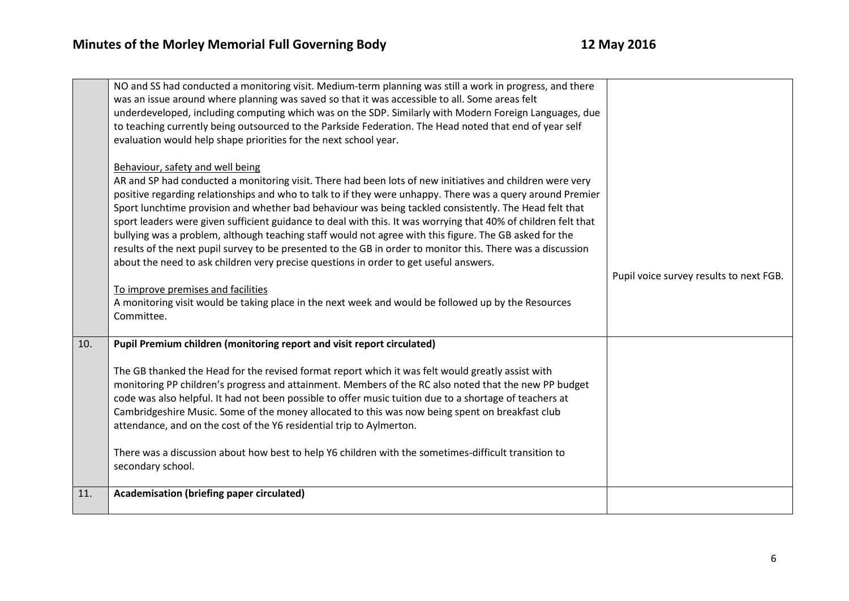|     | NO and SS had conducted a monitoring visit. Medium-term planning was still a work in progress, and there<br>was an issue around where planning was saved so that it was accessible to all. Some areas felt<br>underdeveloped, including computing which was on the SDP. Similarly with Modern Foreign Languages, due<br>to teaching currently being outsourced to the Parkside Federation. The Head noted that end of year self<br>evaluation would help shape priorities for the next school year.<br>Behaviour, safety and well being<br>AR and SP had conducted a monitoring visit. There had been lots of new initiatives and children were very<br>positive regarding relationships and who to talk to if they were unhappy. There was a query around Premier |                                         |
|-----|--------------------------------------------------------------------------------------------------------------------------------------------------------------------------------------------------------------------------------------------------------------------------------------------------------------------------------------------------------------------------------------------------------------------------------------------------------------------------------------------------------------------------------------------------------------------------------------------------------------------------------------------------------------------------------------------------------------------------------------------------------------------|-----------------------------------------|
|     | Sport lunchtime provision and whether bad behaviour was being tackled consistently. The Head felt that<br>sport leaders were given sufficient guidance to deal with this. It was worrying that 40% of children felt that<br>bullying was a problem, although teaching staff would not agree with this figure. The GB asked for the<br>results of the next pupil survey to be presented to the GB in order to monitor this. There was a discussion<br>about the need to ask children very precise questions in order to get useful answers.                                                                                                                                                                                                                         | Pupil voice survey results to next FGB. |
|     | To improve premises and facilities<br>A monitoring visit would be taking place in the next week and would be followed up by the Resources<br>Committee.                                                                                                                                                                                                                                                                                                                                                                                                                                                                                                                                                                                                            |                                         |
| 10. | Pupil Premium children (monitoring report and visit report circulated)                                                                                                                                                                                                                                                                                                                                                                                                                                                                                                                                                                                                                                                                                             |                                         |
|     | The GB thanked the Head for the revised format report which it was felt would greatly assist with<br>monitoring PP children's progress and attainment. Members of the RC also noted that the new PP budget<br>code was also helpful. It had not been possible to offer music tuition due to a shortage of teachers at<br>Cambridgeshire Music. Some of the money allocated to this was now being spent on breakfast club<br>attendance, and on the cost of the Y6 residential trip to Aylmerton.<br>There was a discussion about how best to help Y6 children with the sometimes-difficult transition to<br>secondary school.                                                                                                                                      |                                         |
| 11. | Academisation (briefing paper circulated)                                                                                                                                                                                                                                                                                                                                                                                                                                                                                                                                                                                                                                                                                                                          |                                         |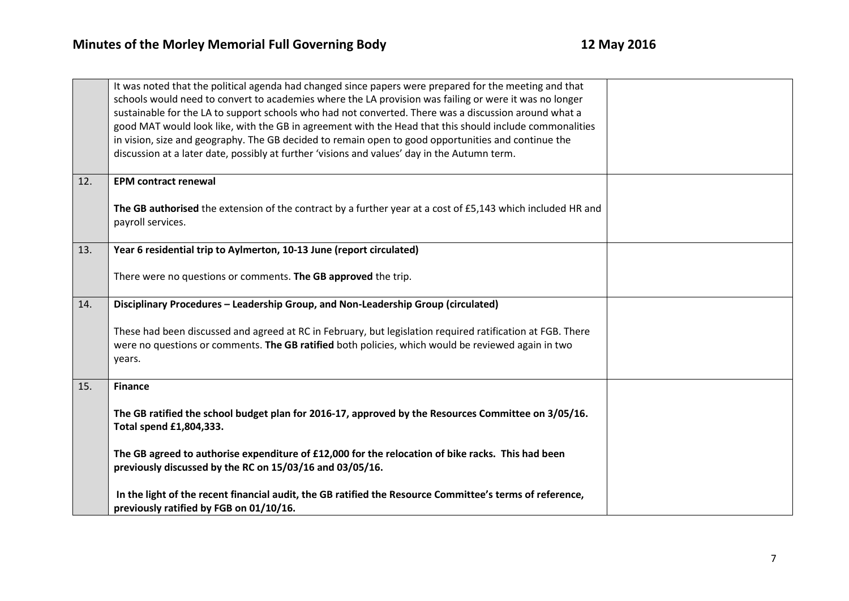|     | It was noted that the political agenda had changed since papers were prepared for the meeting and that<br>schools would need to convert to academies where the LA provision was failing or were it was no longer<br>sustainable for the LA to support schools who had not converted. There was a discussion around what a<br>good MAT would look like, with the GB in agreement with the Head that this should include commonalities<br>in vision, size and geography. The GB decided to remain open to good opportunities and continue the |  |
|-----|---------------------------------------------------------------------------------------------------------------------------------------------------------------------------------------------------------------------------------------------------------------------------------------------------------------------------------------------------------------------------------------------------------------------------------------------------------------------------------------------------------------------------------------------|--|
|     | discussion at a later date, possibly at further 'visions and values' day in the Autumn term.                                                                                                                                                                                                                                                                                                                                                                                                                                                |  |
| 12. | <b>EPM contract renewal</b>                                                                                                                                                                                                                                                                                                                                                                                                                                                                                                                 |  |
|     | The GB authorised the extension of the contract by a further year at a cost of £5,143 which included HR and<br>payroll services.                                                                                                                                                                                                                                                                                                                                                                                                            |  |
| 13. | Year 6 residential trip to Aylmerton, 10-13 June (report circulated)                                                                                                                                                                                                                                                                                                                                                                                                                                                                        |  |
|     | There were no questions or comments. The GB approved the trip.                                                                                                                                                                                                                                                                                                                                                                                                                                                                              |  |
| 14. | Disciplinary Procedures - Leadership Group, and Non-Leadership Group (circulated)                                                                                                                                                                                                                                                                                                                                                                                                                                                           |  |
|     | These had been discussed and agreed at RC in February, but legislation required ratification at FGB. There<br>were no questions or comments. The GB ratified both policies, which would be reviewed again in two<br>years.                                                                                                                                                                                                                                                                                                                  |  |
| 15. | <b>Finance</b>                                                                                                                                                                                                                                                                                                                                                                                                                                                                                                                              |  |
|     | The GB ratified the school budget plan for 2016-17, approved by the Resources Committee on 3/05/16.<br>Total spend £1,804,333.                                                                                                                                                                                                                                                                                                                                                                                                              |  |
|     | The GB agreed to authorise expenditure of £12,000 for the relocation of bike racks. This had been<br>previously discussed by the RC on 15/03/16 and 03/05/16.                                                                                                                                                                                                                                                                                                                                                                               |  |
|     | In the light of the recent financial audit, the GB ratified the Resource Committee's terms of reference,<br>previously ratified by FGB on 01/10/16.                                                                                                                                                                                                                                                                                                                                                                                         |  |